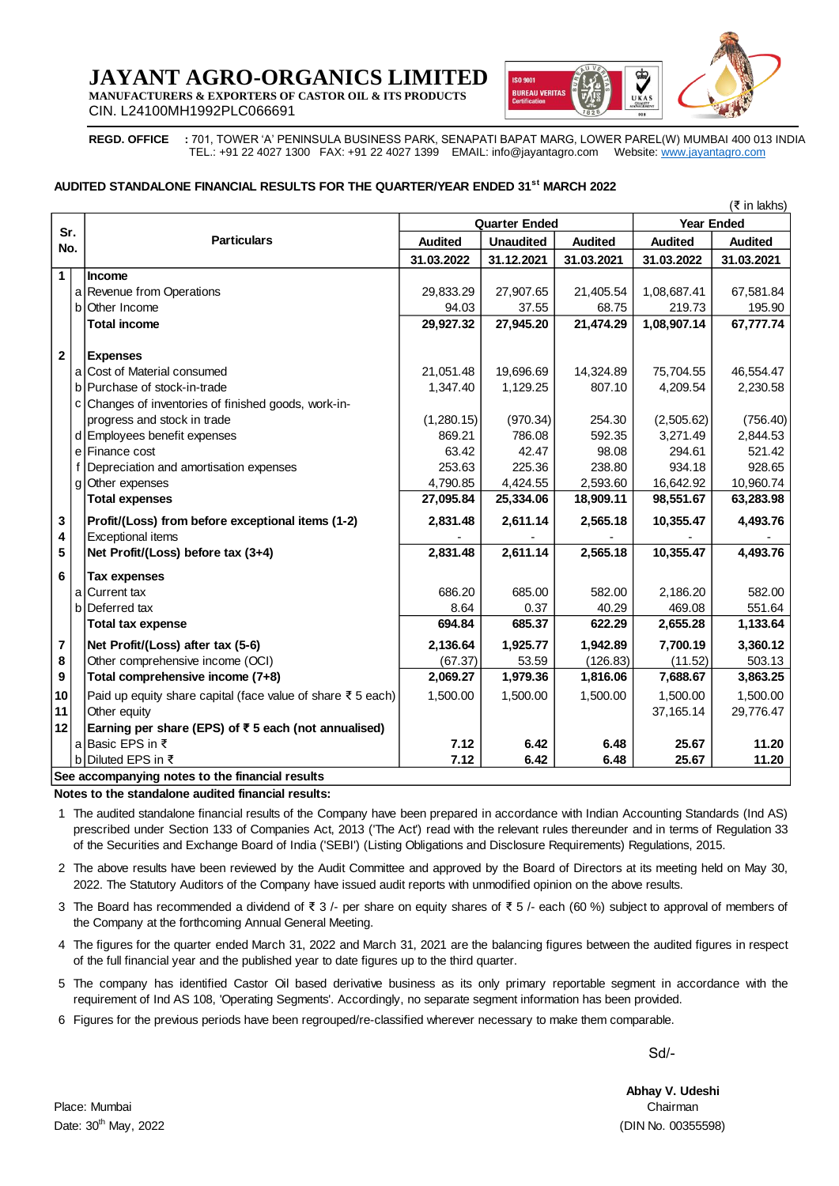# **JAYANT AGRO-ORGANICS LIMITED**

**MANUFACTURERS & EXPORTERS OF CASTOR OIL & ITS PRODUCTS** CIN. L24100MH1992PLC066691



**REGD. OFFICE :** 701, TOWER 'A' PENINSULA BUSINESS PARK, SENAPATI BAPAT MARG, LOWER PAREL(W) MUMBAI 400 013 INDIA TEL.: +91 22 4027 1300 FAX: +91 22 4027 1399 EMAIL: [info@jayantagro.com](mailto:info@jayantagro.com) Website: [www.jayantagro.com](http://www.jayantagro.com/)  $\frac{400\ 013\ IDIA}{\left(\frac{3}{2}\ in\ lakhs\right)}$ <br>(₹ in lakhs)<br>**led** 

#### **AUDITED STANDALONE FINANCIAL RESULTS FOR THE QUARTER/YEAR ENDED 31<sup>st</sup> MARCH 2022**

|                                                 | (र in lakhs) |                                                                                                                                       |                |                      |                   |                |                |  |  |
|-------------------------------------------------|--------------|---------------------------------------------------------------------------------------------------------------------------------------|----------------|----------------------|-------------------|----------------|----------------|--|--|
| Sr.<br>No.                                      |              |                                                                                                                                       |                | <b>Quarter Ended</b> | <b>Year Ended</b> |                |                |  |  |
|                                                 |              | <b>Particulars</b>                                                                                                                    | <b>Audited</b> | <b>Unaudited</b>     | <b>Audited</b>    | <b>Audited</b> | <b>Audited</b> |  |  |
|                                                 |              |                                                                                                                                       | 31.03.2022     | 31.12.2021           | 31.03.2021        | 31.03.2022     | 31.03.2021     |  |  |
| $\mathbf 1$                                     |              | <b>Income</b>                                                                                                                         |                |                      |                   |                |                |  |  |
|                                                 |              | a Revenue from Operations                                                                                                             | 29,833.29      | 27,907.65            | 21,405.54         | 1,08,687.41    | 67,581.84      |  |  |
|                                                 |              | b Other Income                                                                                                                        | 94.03          | 37.55                | 68.75             | 219.73         | 195.90         |  |  |
|                                                 |              | <b>Total income</b>                                                                                                                   | 29,927.32      | 27,945.20            | 21,474.29         | 1,08,907.14    | 67,777.74      |  |  |
|                                                 |              |                                                                                                                                       |                |                      |                   |                |                |  |  |
| $\mathbf{2}$                                    |              | <b>Expenses</b>                                                                                                                       |                |                      |                   |                |                |  |  |
|                                                 |              | a Cost of Material consumed                                                                                                           | 21,051.48      | 19,696.69            | 14,324.89         | 75,704.55      | 46,554.47      |  |  |
|                                                 |              | b Purchase of stock-in-trade                                                                                                          | 1,347.40       | 1,129.25             | 807.10            | 4,209.54       | 2,230.58       |  |  |
|                                                 |              | c Changes of inventories of finished goods, work-in-                                                                                  |                |                      |                   |                |                |  |  |
|                                                 |              | progress and stock in trade                                                                                                           | (1,280.15)     | (970.34)             | 254.30            | (2,505.62)     | (756.40)       |  |  |
|                                                 |              | d Employees benefit expenses                                                                                                          | 869.21         | 786.08               | 592.35            | 3,271.49       | 2,844.53       |  |  |
|                                                 |              | e Finance cost                                                                                                                        | 63.42          | 42.47                | 98.08             | 294.61         | 521.42         |  |  |
|                                                 | f            | Depreciation and amortisation expenses                                                                                                | 253.63         | 225.36               | 238.80            | 934.18         | 928.65         |  |  |
|                                                 | g            | Other expenses                                                                                                                        | 4,790.85       | 4,424.55             | 2,593.60          | 16,642.92      | 10,960.74      |  |  |
|                                                 |              | <b>Total expenses</b>                                                                                                                 | 27,095.84      | 25,334.06            | 18,909.11         | 98,551.67      | 63,283.98      |  |  |
| 3                                               |              | Profit/(Loss) from before exceptional items (1-2)                                                                                     | 2,831.48       | 2,611.14             | 2,565.18          | 10,355.47      | 4,493.76       |  |  |
| 4                                               |              | <b>Exceptional items</b>                                                                                                              |                |                      |                   |                |                |  |  |
| 5                                               |              | Net Profit/(Loss) before tax (3+4)                                                                                                    | 2,831.48       | 2,611.14             | 2,565.18          | 10,355.47      | 4,493.76       |  |  |
| 6                                               |              | <b>Tax expenses</b>                                                                                                                   |                |                      |                   |                |                |  |  |
|                                                 | a            | Current tax                                                                                                                           | 686.20         | 685.00               | 582.00            | 2,186.20       | 582.00         |  |  |
|                                                 |              | b Deferred tax                                                                                                                        | 8.64           | 0.37                 | 40.29             | 469.08         | 551.64         |  |  |
|                                                 |              | <b>Total tax expense</b>                                                                                                              | 694.84         | 685.37               | 622.29            | 2,655.28       | 1,133.64       |  |  |
| $\bf 7$                                         |              | Net Profit/(Loss) after tax (5-6)                                                                                                     | 2,136.64       | 1,925.77             | 1,942.89          | 7,700.19       | 3,360.12       |  |  |
| 8                                               |              | Other comprehensive income (OCI)                                                                                                      | (67.37)        | 53.59                | (126.83)          | (11.52)        | 503.13         |  |  |
| $\boldsymbol{9}$                                |              | Total comprehensive income (7+8)                                                                                                      | 2,069.27       | 1,979.36             | 1,816.06          | 7,688.67       | 3,863.25       |  |  |
| 10                                              |              | Paid up equity share capital (face value of share ₹ 5 each)                                                                           | 1,500.00       | 1,500.00             | 1,500.00          | 1,500.00       | 1,500.00       |  |  |
| 11                                              |              | Other equity                                                                                                                          |                |                      |                   | 37, 165. 14    | 29,776.47      |  |  |
| 12                                              |              | Earning per share (EPS) of ₹5 each (not annualised)                                                                                   |                |                      |                   |                |                |  |  |
|                                                 |              | a Basic EPS in ₹                                                                                                                      | 7.12           | 6.42                 | 6.48              | 25.67          | 11.20          |  |  |
|                                                 |              | b Diluted EPS in ₹                                                                                                                    | 7.12           | 6.42                 | 6.48              | 25.67          | 11.20          |  |  |
| See accompanying notes to the financial results |              |                                                                                                                                       |                |                      |                   |                |                |  |  |
|                                                 |              | Notes to the standalone audited financial results:                                                                                    |                |                      |                   |                |                |  |  |
|                                                 |              | 1 The audited standalone financial results of the Company have been prepared in accordance with Indian Accounting Standards (Ind AS)  |                |                      |                   |                |                |  |  |
|                                                 |              | prescribed under Section 133 of Companies Act, 2013 ('The Act') read with the relevant rules thereunder and in terms of Regulation 33 |                |                      |                   |                |                |  |  |

1 es to the standalone audited financial results:<br>The audited standalone financial results of the Company have been prepared in accordance with Indian Accounting Standards (Ind AS)<br>prescribed under Section 133 of Companies A  $\frac{b}{c}$  Diluted EPS in ₹<br>  $\frac{c}{c}$  accompanying notes to the financial results<br>
es to the standalone audited financial results:<br>
The audited standalone financial results of the Company have been prepared in accordance of the Securities and Exchange Board of India ('SEBI') (Listing Obligations and Disclosure Requirements) Regulations, 2015.

2 2022. The Statutory Auditors of the Company have issued audit reports with unmodified opinion on the above results. prescribed under Section 133 of Companies Act, 2013 (The Act) read with the relevant rules thereunder and in terms of Regulation 33 of the Securities and Exchange Board of India ('SEBI') (Listing Obligations and Disclosur

3 The above results have been reviewed by the Audit Committee and approved by the Board of Directors at its meeting held on May 30, 2022. The Statutory Auditors of the Company have issued audit reports with unmodified opini the Company at the forthcoming Annual General Meeting.

4 The Board has recommended a dividend of  $\bar{\tau}$  3 /- per share on equity shares of  $\bar{\tau}$  5 /- each (60 %) subject to approval of members of the Company at the forthcoming Annual General Meeting.<br>The figures for the quar of the full financial year and the published year to date figures up to the third quarter.

- 5 The company has identified Castor Oil based derivative business as its only primary reportable segment in accordance with the requirement of Ind AS 108, 'Operating Segments'. Accordingly, no separate segment information has been provided.
- 6 Figures for the previous periods have been regrouped/re-classified wherever necessary to make them comparable.

Sd/-

Place: Mumbai Chairman Date: 30th May, 2022 (DIN No. 00355598)

**Abhay V. Udeshi**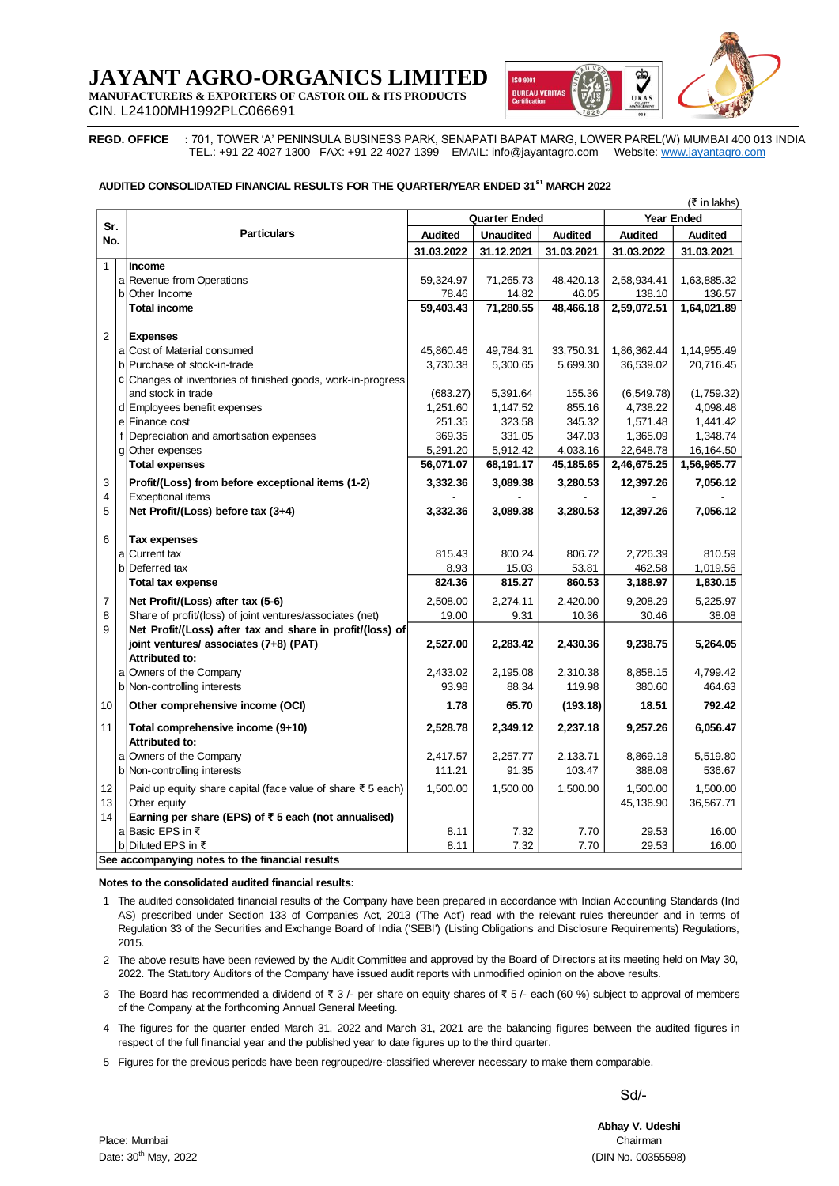# **JAYANT AGRO-ORGANICS LIMI**

**MANUFACTURERS & EXPORTERS OF CASTOR OIL & ITS PRODUCTS**



CIN. L24100MH1992PLC066691

**REGD. OFFICE :** 701, TOWER 'A' PENINSULA BUSINESS PARK, SENAPATI BAPAT MARG, LOWER PAREL(W) MUMBAI 400 013 INDIA TEL.: +91 22 4027 1300 FAX: +91 22 4027 1399 EMAIL: [info@jayantagro.com](mailto:info@jayantagro.com) Website: [www.jayantagro.com](http://www.jayantagro.com/)

#### **AUDITED CONSOLIDATED FINANCIAL RESULTS FOR THE QUARTER/YEAR ENDED 31s t MARCH 2022**

|                                                      | (₹ in lakhs)                                    |                                                                                                                                    |                                                                                                                             |                  |                   |                |                |  |  |  |  |
|------------------------------------------------------|-------------------------------------------------|------------------------------------------------------------------------------------------------------------------------------------|-----------------------------------------------------------------------------------------------------------------------------|------------------|-------------------|----------------|----------------|--|--|--|--|
| Sr.                                                  |                                                 |                                                                                                                                    |                                                                                                                             | Quarter Ended    | <b>Year Ended</b> |                |                |  |  |  |  |
| No.                                                  |                                                 | <b>Particulars</b>                                                                                                                 | <b>Audited</b>                                                                                                              | <b>Unaudited</b> | <b>Audited</b>    | <b>Audited</b> | <b>Audited</b> |  |  |  |  |
|                                                      |                                                 |                                                                                                                                    | 31.03.2022                                                                                                                  | 31.12.2021       | 31.03.2021        | 31.03.2022     | 31.03.2021     |  |  |  |  |
| $\mathbf{1}$                                         |                                                 | Income                                                                                                                             |                                                                                                                             |                  |                   |                |                |  |  |  |  |
|                                                      | a                                               | Revenue from Operations                                                                                                            | 59,324.97                                                                                                                   | 71,265.73        | 48,420.13         | 2,58,934.41    | 1,63,885.32    |  |  |  |  |
|                                                      | b                                               | Other Income                                                                                                                       | 78.46                                                                                                                       | 14.82            | 46.05             | 138.10         | 136.57         |  |  |  |  |
|                                                      |                                                 | <b>Total income</b>                                                                                                                | 59,403.43                                                                                                                   | 71,280.55        | 48,466.18         | 2,59,072.51    | 1,64,021.89    |  |  |  |  |
| $\overline{2}$                                       |                                                 |                                                                                                                                    |                                                                                                                             |                  |                   |                |                |  |  |  |  |
|                                                      |                                                 | <b>Expenses</b><br>a Cost of Material consumed                                                                                     | 45,860.46                                                                                                                   | 49,784.31        | 33,750.31         | 1,86,362.44    | 1,14,955.49    |  |  |  |  |
|                                                      |                                                 | b Purchase of stock-in-trade                                                                                                       | 3,730.38                                                                                                                    | 5,300.65         | 5,699.30          | 36,539.02      | 20,716.45      |  |  |  |  |
|                                                      |                                                 | c Changes of inventories of finished goods, work-in-progress                                                                       |                                                                                                                             |                  |                   |                |                |  |  |  |  |
|                                                      |                                                 | and stock in trade                                                                                                                 | (683.27)                                                                                                                    | 5,391.64         | 155.36            | (6, 549.78)    | (1,759.32)     |  |  |  |  |
|                                                      |                                                 | d Employees benefit expenses                                                                                                       | 1,251.60                                                                                                                    | 1,147.52         | 855.16            | 4,738.22       | 4,098.48       |  |  |  |  |
|                                                      |                                                 | e Finance cost                                                                                                                     | 251.35                                                                                                                      | 323.58           | 345.32            | 1,571.48       | 1,441.42       |  |  |  |  |
|                                                      | f                                               | Depreciation and amortisation expenses                                                                                             | 369.35                                                                                                                      | 331.05           | 347.03            | 1,365.09       | 1,348.74       |  |  |  |  |
|                                                      |                                                 | g Other expenses                                                                                                                   | 5,291.20                                                                                                                    | 5,912.42         | 4,033.16          | 22,648.78      | 16,164.50      |  |  |  |  |
|                                                      |                                                 | <b>Total expenses</b>                                                                                                              | 56,071.07                                                                                                                   | 68,191.17        | 45,185.65         | 2,46,675.25    | 1,56,965.77    |  |  |  |  |
| 3                                                    |                                                 | Profit/(Loss) from before exceptional items (1-2)                                                                                  | 3,332.36                                                                                                                    | 3,089.38         | 3,280.53          | 12,397.26      | 7,056.12       |  |  |  |  |
| 4                                                    |                                                 | <b>Exceptional items</b>                                                                                                           |                                                                                                                             |                  |                   |                |                |  |  |  |  |
| 5                                                    |                                                 | Net Profit/(Loss) before tax (3+4)                                                                                                 | 3,332.36                                                                                                                    | 3,089.38         | 3,280.53          | 12,397.26      | 7,056.12       |  |  |  |  |
|                                                      |                                                 |                                                                                                                                    |                                                                                                                             |                  |                   |                |                |  |  |  |  |
| 6                                                    |                                                 | Tax expenses                                                                                                                       |                                                                                                                             |                  |                   |                |                |  |  |  |  |
|                                                      | a                                               | <b>Current tax</b>                                                                                                                 | 815.43                                                                                                                      | 800.24           | 806.72            | 2,726.39       | 810.59         |  |  |  |  |
|                                                      |                                                 | b Deferred tax                                                                                                                     | 8.93                                                                                                                        | 15.03            | 53.81             | 462.58         | 1,019.56       |  |  |  |  |
|                                                      |                                                 | <b>Total tax expense</b>                                                                                                           | 824.36                                                                                                                      | 815.27           | 860.53            | 3,188.97       | 1,830.15       |  |  |  |  |
| 7                                                    |                                                 | Net Profit/(Loss) after tax (5-6)                                                                                                  | 2,508.00                                                                                                                    | 2,274.11         | 2,420.00          | 9,208.29       | 5,225.97       |  |  |  |  |
| 8                                                    |                                                 | Share of profit/(loss) of joint ventures/associates (net)                                                                          | 19.00                                                                                                                       | 9.31             | 10.36             | 30.46          | 38.08          |  |  |  |  |
| 9                                                    |                                                 | Net Profit/(Loss) after tax and share in profit/(loss) of                                                                          |                                                                                                                             |                  |                   |                |                |  |  |  |  |
|                                                      |                                                 | joint ventures/ associates (7+8) (PAT)                                                                                             | 2,527.00                                                                                                                    | 2,283.42         | 2,430.36          | 9,238.75       | 5,264.05       |  |  |  |  |
|                                                      |                                                 | Attributed to:                                                                                                                     |                                                                                                                             |                  |                   |                |                |  |  |  |  |
|                                                      | а                                               | Owners of the Company                                                                                                              | 2,433.02                                                                                                                    | 2,195.08         | 2,310.38          | 8,858.15       | 4,799.42       |  |  |  |  |
|                                                      |                                                 | b Non-controlling interests                                                                                                        | 93.98                                                                                                                       | 88.34            | 119.98            | 380.60         | 464.63         |  |  |  |  |
| 10                                                   |                                                 | Other comprehensive income (OCI)                                                                                                   | 1.78                                                                                                                        | 65.70            | (193.18)          | 18.51          | 792.42         |  |  |  |  |
| 11                                                   |                                                 | Total comprehensive income (9+10)                                                                                                  | 2,528.78                                                                                                                    | 2,349.12         | 2,237.18          | 9,257.26       | 6,056.47       |  |  |  |  |
|                                                      |                                                 | Attributed to:                                                                                                                     |                                                                                                                             |                  |                   |                |                |  |  |  |  |
|                                                      | a                                               | Owners of the Company                                                                                                              | 2,417.57                                                                                                                    | 2,257.77         | 2,133.71          | 8,869.18       | 5,519.80       |  |  |  |  |
|                                                      |                                                 | b Non-controlling interests                                                                                                        | 111.21                                                                                                                      | 91.35            | 103.47            | 388.08         | 536.67         |  |  |  |  |
| 12                                                   |                                                 | Paid up equity share capital (face value of share ₹ 5 each)                                                                        | 1,500.00                                                                                                                    | 1,500.00         | 1,500.00          | 1,500.00       | 1,500.00       |  |  |  |  |
| 13                                                   |                                                 | Other equity                                                                                                                       |                                                                                                                             |                  |                   | 45,136.90      | 36,567.71      |  |  |  |  |
| 14                                                   |                                                 | Earning per share (EPS) of $\overline{\epsilon}$ 5 each (not annualised)                                                           |                                                                                                                             |                  |                   |                |                |  |  |  |  |
|                                                      |                                                 | a Basic EPS in ₹                                                                                                                   | 8.11                                                                                                                        | 7.32             | 7.70              | 29.53          | 16.00          |  |  |  |  |
|                                                      |                                                 | b Diluted EPS in ₹                                                                                                                 | 8.11                                                                                                                        | 7.32             | 7.70              | 29.53          | 16.00          |  |  |  |  |
|                                                      | See accompanying notes to the financial results |                                                                                                                                    |                                                                                                                             |                  |                   |                |                |  |  |  |  |
| Notes to the consolidated audited financial results: |                                                 |                                                                                                                                    |                                                                                                                             |                  |                   |                |                |  |  |  |  |
|                                                      |                                                 |                                                                                                                                    |                                                                                                                             |                  |                   |                |                |  |  |  |  |
|                                                      |                                                 | 1 The audited consolidated financial results of the Company have been prepared in accordance with Indian Accounting Standards (Ind |                                                                                                                             |                  |                   |                |                |  |  |  |  |
|                                                      |                                                 |                                                                                                                                    | AS) prescribed under Section 133 of Companies Act, 2013 ('The Act') read with the relevant rules thereunder and in terms of |                  |                   |                |                |  |  |  |  |

1 The audited consolidated financial results of the Company have been prepared in accordance with Indian Accounting Standards (Ind accompanying notes to the financial results<br>
accompanying notes to the financial results:<br>
The audited consolidated financial results of the Company have been prepared in accordance with Indian Accounting Standards (Ind<br>
A accompanying notes to the financial results:<br>Regulation 33 of the consolidated financial results of the Company have been prepared in accordance with Indian Accounting Standards (Ind<br>AS) prescribed under Section 133 of Com 2015.

2 The above results have been reviewed by the Audit Committee and approved by the Board of Directors at its meeting held on May 30, Regulation 33 of the Securities and Exchange Board of India ('SEBI') (Listing Obligations and Disclosure Requirements) Regulations,<br>2015.<br>The above results have been reviewed by the Audit Committee and approved by the Boa 2022. The Statutory Auditors of the Company have issued audit reports with unmodified opinion on the above results.

3 of the Company at the forthcoming Annual General Meeting.

4 The figures for the quarter ended March 31, 2022 and March 31, 2021 are the balancing figures between the audited figures in The above results have been reviewed by the Audit Committee and approved by the Board of Directors at its meeting held on May 30, 2022. The Statutory Auditors of the Company have issued audit reports with unmodified opini respect of the full financial year and the published year to date figures up to the third quarter.

5 Figures for the previous periods have been regrouped/re-classified wherever necessary to make them comparable.

Sd/-

**Abhay V. Udeshi**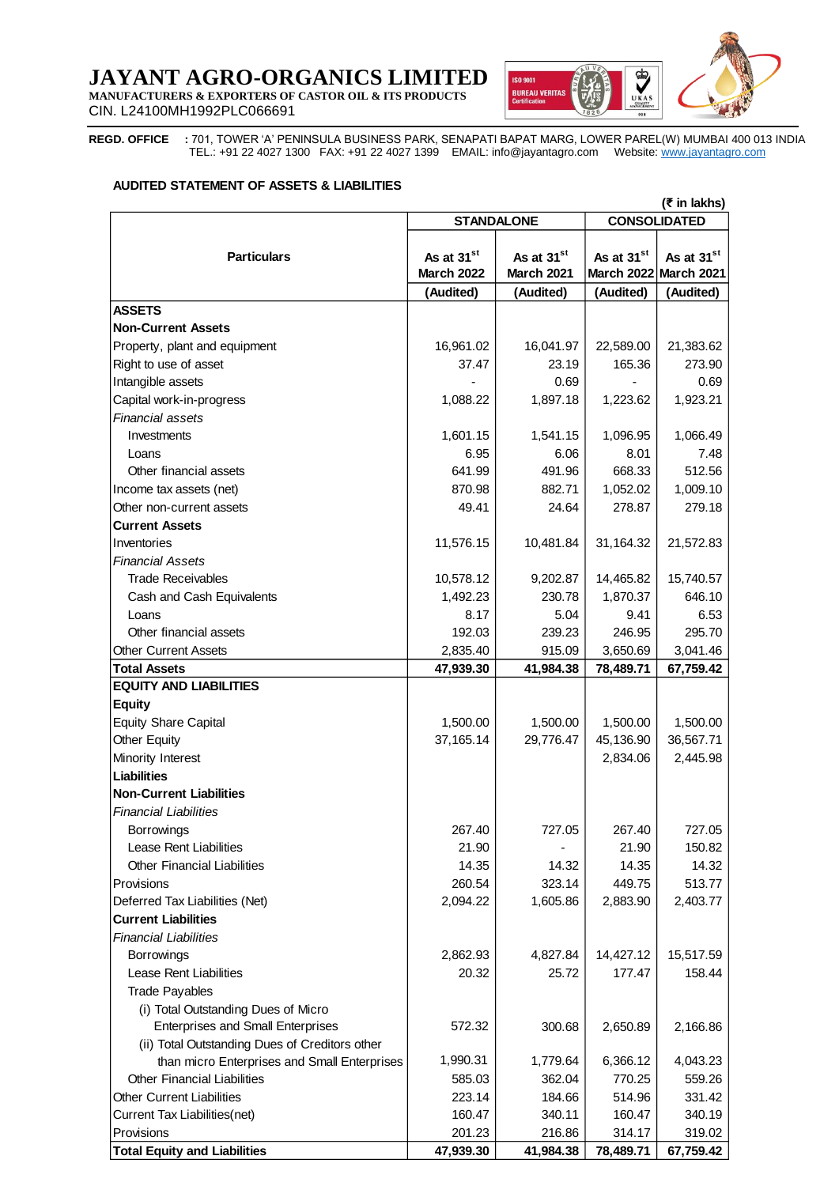## **JAYANT AGRO-ORGANICS LIMITED MANUFACTURERS & EXPORTERS OF CASTOR OIL & ITS PRODUCTS**



CIN. L24100MH1992PLC066691

**REGD. OFFICE :** 701, TOWER 'A' PENINSULA BUSINESS PARK, SENAPATI BAPAT MARG, LOWER PAREL(W) MUMBAI 400 013 INDIA TEL.: +91 22 4027 1300 FAX: +91 22 4027 1399 EMAIL: [info@jayantagro.com](mailto:info@jayantagro.com)  Website: [www.jayantagro.com](http://www.jayantagro.com/)

#### **AUDITED STATEMENT OF ASSETS & LIABILITIES**

| (₹ in lakhs)                                   |                                          |                        |                        |                        |  |  |
|------------------------------------------------|------------------------------------------|------------------------|------------------------|------------------------|--|--|
|                                                | <b>CONSOLIDATED</b><br><b>STANDALONE</b> |                        |                        |                        |  |  |
|                                                |                                          |                        |                        |                        |  |  |
| <b>Particulars</b>                             | As at 31 <sup>st</sup>                   | As at 31 <sup>st</sup> | As at 31 <sup>st</sup> | As at 31 <sup>st</sup> |  |  |
|                                                | <b>March 2022</b>                        | March 2021             |                        | March 2022 March 2021  |  |  |
|                                                | (Audited)                                | (Audited)              | (Audited)              | (Audited)              |  |  |
| <b>ASSETS</b>                                  |                                          |                        |                        |                        |  |  |
| <b>Non-Current Assets</b>                      |                                          |                        |                        |                        |  |  |
| Property, plant and equipment                  | 16,961.02                                | 16,041.97              | 22,589.00              | 21,383.62              |  |  |
| Right to use of asset                          | 37.47                                    | 23.19                  | 165.36                 | 273.90                 |  |  |
| Intangible assets                              |                                          | 0.69                   |                        | 0.69                   |  |  |
| Capital work-in-progress                       | 1,088.22                                 | 1,897.18               | 1,223.62               | 1,923.21               |  |  |
| <b>Financial assets</b>                        |                                          |                        |                        |                        |  |  |
| Investments                                    | 1,601.15                                 | 1,541.15               | 1,096.95               | 1,066.49               |  |  |
| Loans                                          | 6.95                                     | 6.06                   | 8.01                   | 7.48                   |  |  |
| Other financial assets                         | 641.99                                   | 491.96                 | 668.33                 | 512.56                 |  |  |
| Income tax assets (net)                        | 870.98                                   | 882.71                 | 1,052.02               | 1,009.10               |  |  |
| Other non-current assets                       | 49.41                                    | 24.64                  | 278.87                 | 279.18                 |  |  |
| <b>Current Assets</b>                          |                                          |                        |                        |                        |  |  |
| Inventories                                    | 11,576.15                                | 10,481.84              | 31,164.32              | 21,572.83              |  |  |
| <b>Financial Assets</b>                        |                                          |                        |                        |                        |  |  |
| Trade Receivables                              | 10,578.12                                | 9,202.87               | 14,465.82              | 15,740.57              |  |  |
| Cash and Cash Equivalents                      | 1,492.23                                 | 230.78                 | 1,870.37               | 646.10                 |  |  |
| Loans                                          | 8.17                                     | 5.04                   | 9.41                   | 6.53                   |  |  |
| Other financial assets                         | 192.03                                   | 239.23                 | 246.95                 | 295.70                 |  |  |
| <b>Other Current Assets</b>                    | 2,835.40                                 | 915.09                 | 3,650.69               | 3,041.46               |  |  |
| <b>Total Assets</b>                            | 47,939.30                                | 41,984.38              | 78,489.71              | 67,759.42              |  |  |
| <b>EQUITY AND LIABILITIES</b>                  |                                          |                        |                        |                        |  |  |
| <b>Equity</b>                                  |                                          |                        |                        |                        |  |  |
| <b>Equity Share Capital</b>                    | 1,500.00                                 | 1,500.00               | 1,500.00               | 1,500.00               |  |  |
| Other Equity                                   | 37, 165. 14                              | 29,776.47              | 45,136.90              | 36,567.71              |  |  |
| Minority Interest                              |                                          |                        | 2,834.06               | 2,445.98               |  |  |
| Liabilities                                    |                                          |                        |                        |                        |  |  |
| <b>Non-Current Liabilities</b>                 |                                          |                        |                        |                        |  |  |
| <b>Financial Liabilities</b>                   |                                          |                        |                        |                        |  |  |
| Borrowings                                     | 267.40                                   | 727.05                 | 267.40                 | 727.05                 |  |  |
| Lease Rent Liabilities                         | 21.90                                    |                        | 21.90                  | 150.82                 |  |  |
| <b>Other Financial Liabilities</b>             | 14.35                                    | 14.32                  | 14.35                  | 14.32                  |  |  |
| Provisions                                     | 260.54                                   | 323.14                 | 449.75                 | 513.77                 |  |  |
| Deferred Tax Liabilities (Net)                 | 2,094.22                                 | 1,605.86               | 2,883.90               | 2,403.77               |  |  |
| <b>Current Liabilities</b>                     |                                          |                        |                        |                        |  |  |
| <b>Financial Liabilities</b>                   |                                          |                        |                        |                        |  |  |
| <b>Borrowings</b>                              | 2,862.93                                 | 4,827.84               | 14,427.12              | 15,517.59              |  |  |
| Lease Rent Liabilities                         | 20.32                                    | 25.72                  | 177.47                 | 158.44                 |  |  |
| <b>Trade Payables</b>                          |                                          |                        |                        |                        |  |  |
| (i) Total Outstanding Dues of Micro            |                                          |                        |                        |                        |  |  |
| <b>Enterprises and Small Enterprises</b>       | 572.32                                   | 300.68                 | 2,650.89               | 2,166.86               |  |  |
| (ii) Total Outstanding Dues of Creditors other |                                          |                        |                        |                        |  |  |
| than micro Enterprises and Small Enterprises   | 1,990.31                                 | 1,779.64               | 6,366.12               | 4,043.23               |  |  |
| <b>Other Financial Liabilities</b>             | 585.03                                   | 362.04                 | 770.25                 | 559.26                 |  |  |
| <b>Other Current Liabilities</b>               | 223.14                                   | 184.66                 | 514.96                 | 331.42                 |  |  |
| Current Tax Liabilities(net)                   | 160.47                                   | 340.11                 | 160.47                 | 340.19                 |  |  |
| Provisions                                     | 201.23                                   | 216.86                 | 314.17                 | 319.02                 |  |  |
| <b>Total Equity and Liabilities</b>            | 47,939.30                                | 41,984.38              | 78,489.71              | 67,759.42              |  |  |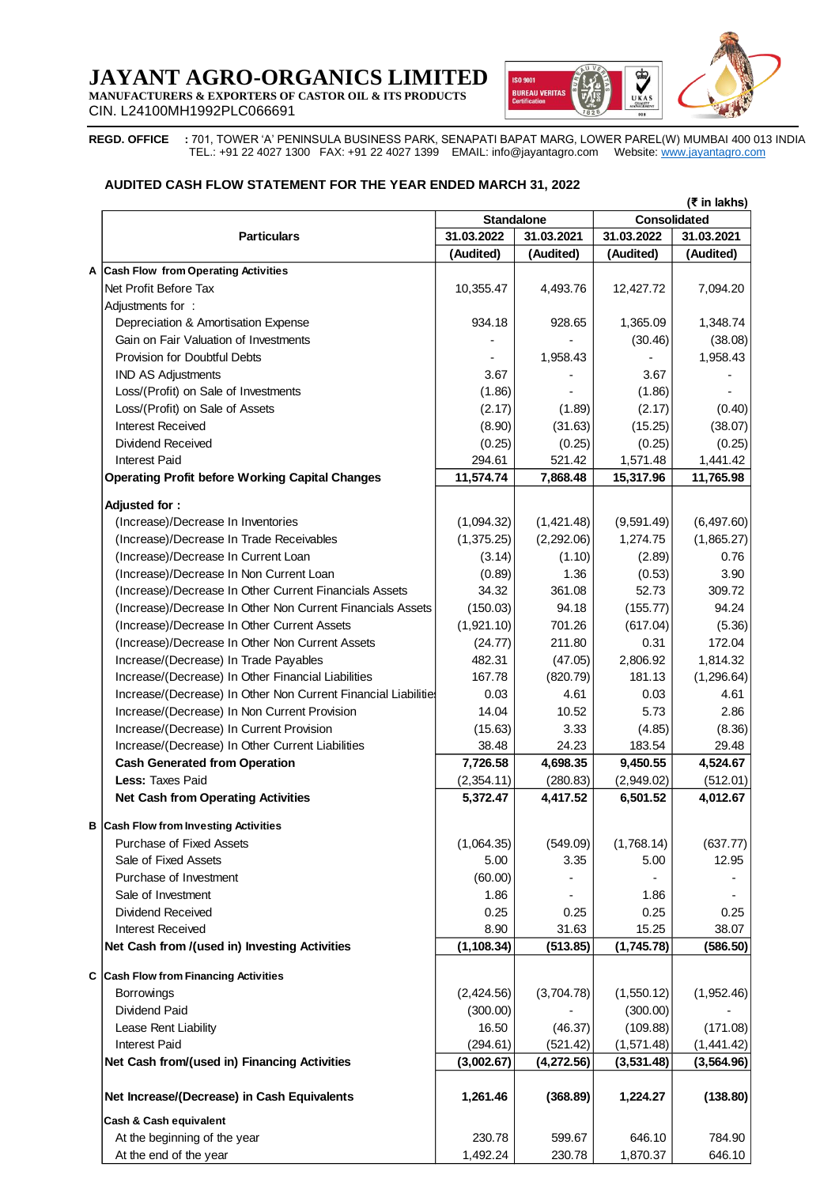## **JAYANT AGRO-ORGANICS LIMITED MANUFACTURERS & EXPORTERS OF CASTOR OIL & ITS PRODUCTS**



CIN. L24100MH1992PLC066691

**REGD. OFFICE :** 701, TOWER 'A' PENINSULA BUSINESS PARK, SENAPATI BAPAT MARG, LOWER PAREL(W) MUMBAI 400 013 INDIA TEL.: +91 22 4027 1300 FAX: +91 22 4027 1399 EMAIL: [info@jayantagro.com](mailto:info@jayantagro.com)  Website: [www.jayantagro.com](http://www.jayantagro.com/)

### **AUDITED CASH FLOW STATEMENT FOR THE YEAR ENDED MARCH 31, 2022**

|                                                                |                          | $(5$ in lakhs)<br>Consolidated<br><b>Standalone</b> |                          |             |  |
|----------------------------------------------------------------|--------------------------|-----------------------------------------------------|--------------------------|-------------|--|
| <b>Particulars</b>                                             | 31.03.2022<br>31.03.2021 |                                                     | 31.03.2022<br>31.03.2021 |             |  |
|                                                                | (Audited)                | (Audited)                                           | (Audited)                | (Audited)   |  |
| <b>Cash Flow from Operating Activities</b><br>A                |                          |                                                     |                          |             |  |
| Net Profit Before Tax                                          | 10,355.47                | 4,493.76                                            | 12,427.72                | 7,094.20    |  |
|                                                                |                          |                                                     |                          |             |  |
| Adjustments for:                                               |                          |                                                     |                          |             |  |
| Depreciation & Amortisation Expense                            | 934.18                   | 928.65                                              | 1,365.09                 | 1,348.74    |  |
| Gain on Fair Valuation of Investments                          |                          |                                                     | (30.46)                  | (38.08)     |  |
| Provision for Doubtful Debts                                   |                          | 1,958.43                                            |                          | 1,958.43    |  |
| <b>IND AS Adjustments</b>                                      | 3.67                     |                                                     | 3.67                     |             |  |
| Loss/(Profit) on Sale of Investments                           | (1.86)                   |                                                     | (1.86)                   |             |  |
| Loss/(Profit) on Sale of Assets                                | (2.17)                   | (1.89)                                              | (2.17)                   | (0.40)      |  |
| Interest Received                                              | (8.90)                   | (31.63)                                             | (15.25)                  | (38.07)     |  |
| Dividend Received                                              | (0.25)                   | (0.25)                                              | (0.25)                   | (0.25)      |  |
| <b>Interest Paid</b>                                           | 294.61                   | 521.42                                              | 1,571.48                 | 1,441.42    |  |
| <b>Operating Profit before Working Capital Changes</b>         | 11,574.74                | 7,868.48                                            | 15,317.96                | 11,765.98   |  |
| Adjusted for:                                                  |                          |                                                     |                          |             |  |
| (Increase)/Decrease In Inventories                             | (1,094.32)               |                                                     | (9,591.49)               | (6,497.60)  |  |
|                                                                |                          | (1,421.48)                                          |                          |             |  |
| (Increase)/Decrease In Trade Receivables                       | (1,375.25)               | (2,292.06)                                          | 1,274.75                 | (1,865.27)  |  |
| (Increase)/Decrease In Current Loan                            | (3.14)                   | (1.10)                                              | (2.89)                   | 0.76        |  |
| (Increase)/Decrease In Non Current Loan                        | (0.89)                   | 1.36                                                | (0.53)                   | 3.90        |  |
| (Increase)/Decrease In Other Current Financials Assets         | 34.32                    | 361.08                                              | 52.73                    | 309.72      |  |
| (Increase)/Decrease In Other Non Current Financials Assets     | (150.03)                 | 94.18                                               | (155.77)                 | 94.24       |  |
| (Increase)/Decrease In Other Current Assets                    | (1,921.10)               | 701.26                                              | (617.04)                 | (5.36)      |  |
| (Increase)/Decrease In Other Non Current Assets                | (24.77)                  | 211.80                                              | 0.31                     | 172.04      |  |
| Increase/(Decrease) In Trade Payables                          | 482.31                   | (47.05)                                             | 2,806.92                 | 1,814.32    |  |
| Increase/(Decrease) In Other Financial Liabilities             | 167.78                   | (820.79)                                            | 181.13                   | (1, 296.64) |  |
| Increase/(Decrease) In Other Non Current Financial Liabilities | 0.03                     | 4.61                                                | 0.03                     | 4.61        |  |
| Increase/(Decrease) In Non Current Provision                   | 14.04                    | 10.52                                               | 5.73                     | 2.86        |  |
| Increase/(Decrease) In Current Provision                       | (15.63)                  | 3.33                                                | (4.85)                   | (8.36)      |  |
| Increase/(Decrease) In Other Current Liabilities               | 38.48                    | 24.23                                               | 183.54                   | 29.48       |  |
| <b>Cash Generated from Operation</b>                           | 7,726.58                 | 4,698.35                                            | 9,450.55                 | 4,524.67    |  |
| <b>Less: Taxes Paid</b>                                        | (2,354.11)               | (280.83)                                            | (2,949.02)               | (512.01)    |  |
| <b>Net Cash from Operating Activities</b>                      | 5,372.47                 | 4,417.52                                            | 6,501.52                 | 4,012.67    |  |
|                                                                |                          |                                                     |                          |             |  |
| <b>Cash Flow from Investing Activities</b>                     |                          |                                                     |                          |             |  |
| Purchase of Fixed Assets                                       | (1,064.35)               | (549.09)                                            | (1,768.14)               | (637.77)    |  |
| Sale of Fixed Assets                                           | 5.00                     | 3.35                                                | 5.00                     | 12.95       |  |
| Purchase of Investment                                         | (60.00)                  |                                                     |                          |             |  |
| Sale of Investment                                             | 1.86                     |                                                     | 1.86                     |             |  |
| <b>Dividend Received</b>                                       | 0.25                     | 0.25                                                | 0.25                     | 0.25        |  |
| Interest Received                                              | 8.90                     | 31.63                                               | 15.25                    | 38.07       |  |
| Net Cash from /(used in) Investing Activities                  | (1, 108.34)              | (513.85)                                            | (1,745.78)               | (586.50)    |  |
|                                                                |                          |                                                     |                          |             |  |
| <b>Cash Flow from Financing Activities</b>                     |                          |                                                     |                          |             |  |
| Borrowings                                                     | (2,424.56)               | (3,704.78)                                          | (1,550.12)               | (1,952.46)  |  |
| Dividend Paid                                                  | (300.00)                 |                                                     | (300.00)                 |             |  |
| Lease Rent Liability                                           | 16.50                    | (46.37)                                             | (109.88)                 | (171.08)    |  |
| Interest Paid                                                  | (294.61)                 | (521.42)                                            | (1,571.48)               | (1,441.42)  |  |
| Net Cash from/(used in) Financing Activities                   | (3,002.67)               | (4,272.56)                                          | (3,531.48)               | (3, 564.96) |  |
|                                                                |                          |                                                     |                          |             |  |
| Net Increase/(Decrease) in Cash Equivalents                    | 1,261.46                 | (368.89)                                            | 1,224.27                 | (138.80)    |  |
|                                                                |                          |                                                     |                          |             |  |
| Cash & Cash equivalent                                         |                          |                                                     |                          |             |  |
| At the beginning of the year                                   | 230.78                   | 599.67                                              | 646.10                   | 784.90      |  |
| At the end of the year                                         | 1,492.24                 | 230.78                                              | 1,870.37                 | 646.10      |  |